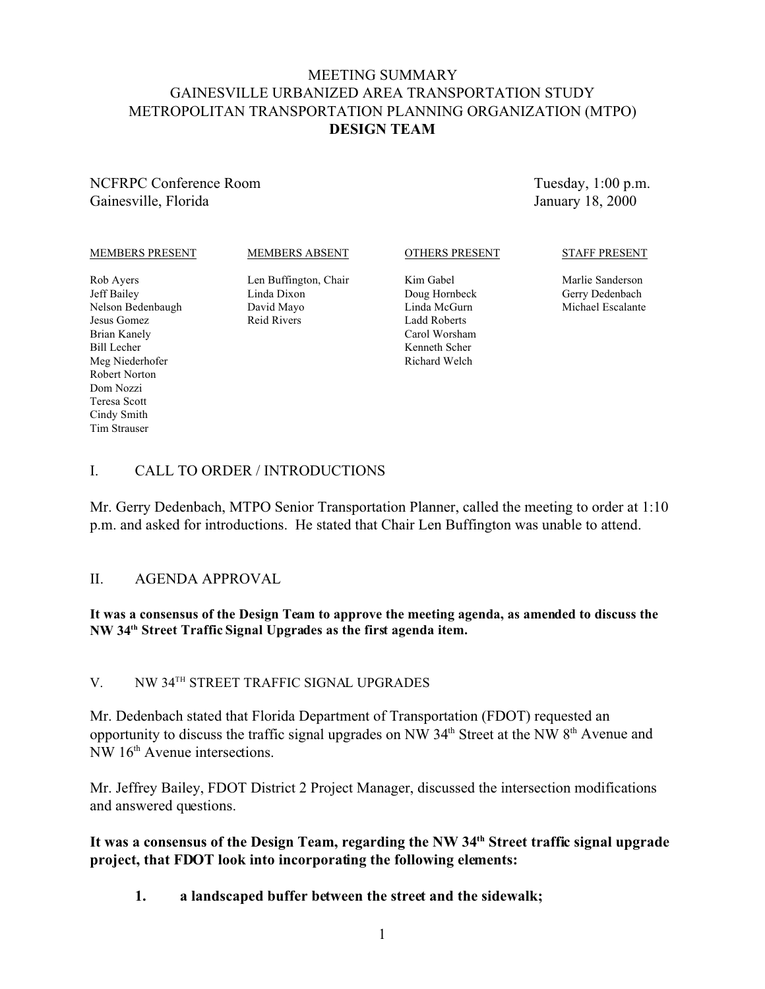# MEETING SUMMARY GAINESVILLE URBANIZED AREA TRANSPORTATION STUDY METROPOLITAN TRANSPORTATION PLANNING ORGANIZATION (MTPO) **DESIGN TEAM**

# NCFRPC Conference Room Gainesville, Florida

Tuesday, 1:00 p.m. January 18, 2000

#### MEMBERS PRESENT

MEMBERS ABSENT

Rob Ayers Jeff Bailey Nelson Bedenbaugh Jesus Gomez Brian Kanely Bill Lecher Meg Niederhofer Robert Norton Dom Nozzi Teresa Scott Cindy Smith Tim Strauser

Len Buffington, Chair Linda Dixon David Mayo

Reid Rivers

#### OTHERS PRESENT

Kim Gabel Doug Hornbeck Linda McGurn Ladd Roberts Carol Worsham Kenneth Scher Richard Welch

#### STAFF PRESENT

Marlie Sanderson Gerry Dedenbach Michael Escalante

# I. CALL TO ORDER / INTRODUCTIONS

Mr. Gerry Dedenbach, MTPO Senior Transportation Planner, called the meeting to order at 1:10 p.m. and asked for introductions. He stated that Chair Len Buffington was unable to attend.

## II. AGENDA APPROVAL

## **It was a consensus of the Design Team to approve the meeting agenda, as amended to discuss the NW 34th Street Traffic Signal Upgrades as the first agenda item.**

## V. NW 34TH STREET TRAFFIC SIGNAL UPGRADES

Mr. Dedenbach stated that Florida Department of Transportation (FDOT) requested an opportunity to discuss the traffic signal upgrades on NW  $34<sup>th</sup>$  Street at the NW  $8<sup>th</sup>$  Avenue and NW 16th Avenue intersections.

Mr. Jeffrey Bailey, FDOT District 2 Project Manager, discussed the intersection modifications and answered questions.

**It was a consensus of the Design Team, regarding the NW 34th Street traffic signal upgrade project, that FDOT look into incorporating the following elements:**

**1. a landscaped buffer between the street and the sidewalk;**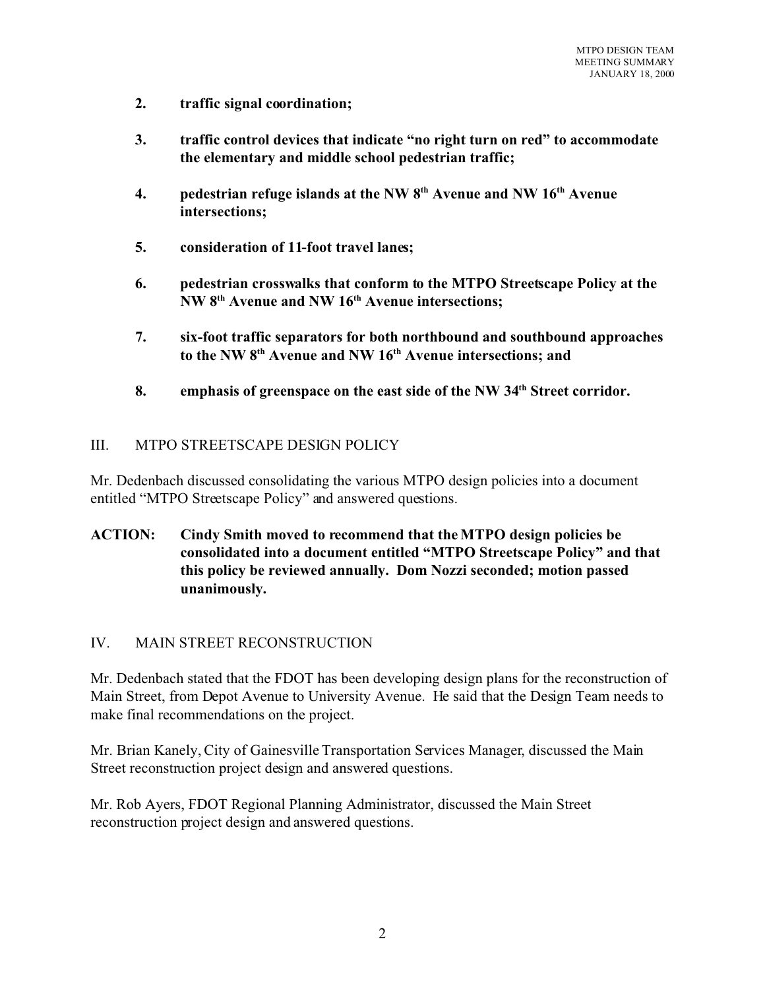- **2. traffic signal coordination;**
- **3. traffic control devices that indicate "no right turn on red" to accommodate the elementary and middle school pedestrian traffic;**
- **4. pedestrian refuge islands at the NW 8th Avenue and NW 16th Avenue intersections;**
- **5. consideration of 11-foot travel lanes;**
- **6. pedestrian crosswalks that conform to the MTPO Streetscape Policy at the NW 8th Avenue and NW 16th Avenue intersections;**
- **7. six-foot traffic separators for both northbound and southbound approaches to the NW 8th Avenue and NW 16th Avenue intersections; and**
- **8. emphasis of greenspace on the east side of the NW 34th Street corridor.**

## III. MTPO STREETSCAPE DESIGN POLICY

Mr. Dedenbach discussed consolidating the various MTPO design policies into a document entitled "MTPO Streetscape Policy" and answered questions.

# **ACTION: Cindy Smith moved to recommend that the MTPO design policies be consolidated into a document entitled "MTPO Streetscape Policy" and that this policy be reviewed annually. Dom Nozzi seconded; motion passed unanimously.**

## IV. MAIN STREET RECONSTRUCTION

Mr. Dedenbach stated that the FDOT has been developing design plans for the reconstruction of Main Street, from Depot Avenue to University Avenue. He said that the Design Team needs to make final recommendations on the project.

Mr. Brian Kanely, City of Gainesville Transportation Services Manager, discussed the Main Street reconstruction project design and answered questions.

Mr. Rob Ayers, FDOT Regional Planning Administrator, discussed the Main Street reconstruction project design and answered questions.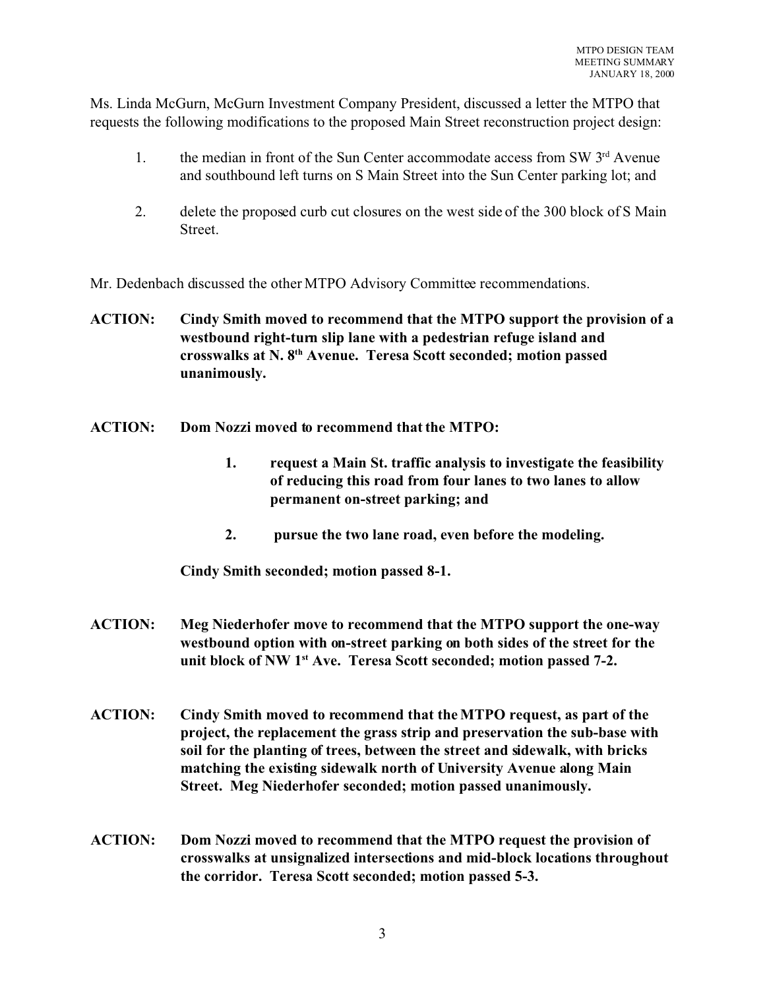Ms. Linda McGurn, McGurn Investment Company President, discussed a letter the MTPO that requests the following modifications to the proposed Main Street reconstruction project design:

- 1. the median in front of the Sun Center accommodate access from SW 3<sup>rd</sup> Avenue and southbound left turns on S Main Street into the Sun Center parking lot; and
- 2. delete the proposed curb cut closures on the west side of the 300 block of S Main **Street**

Mr. Dedenbach discussed the other MTPO Advisory Committee recommendations.

- **ACTION: Cindy Smith moved to recommend that the MTPO support the provision of a westbound right-turn slip lane with a pedestrian refuge island and crosswalks at N. 8th Avenue. Teresa Scott seconded; motion passed unanimously.**
- **ACTION: Dom Nozzi moved to recommend that the MTPO:**
	- **1. request a Main St. traffic analysis to investigate the feasibility of reducing this road from four lanes to two lanes to allow permanent on-street parking; and**
	- **2. pursue the two lane road, even before the modeling.**

**Cindy Smith seconded; motion passed 8-1.**

- **ACTION: Meg Niederhofer move to recommend that the MTPO support the one-way westbound option with on-street parking on both sides of the street for the unit block of NW 1st Ave. Teresa Scott seconded; motion passed 7-2.**
- **ACTION: Cindy Smith moved to recommend that the MTPO request, as part of the project, the replacement the grass strip and preservation the sub-base with soil for the planting of trees, between the street and sidewalk, with bricks matching the existing sidewalk north of University Avenue along Main Street. Meg Niederhofer seconded; motion passed unanimously.**
- **ACTION: Dom Nozzi moved to recommend that the MTPO request the provision of crosswalks at unsignalized intersections and mid-block locations throughout the corridor. Teresa Scott seconded; motion passed 5-3.**